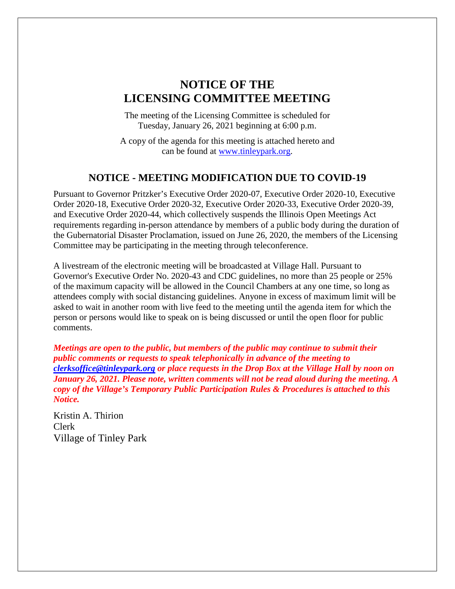# **NOTICE OF THE LICENSING COMMITTEE MEETING**

The meeting of the Licensing Committee is scheduled for Tuesday, January 26, 2021 beginning at 6:00 p.m.

A copy of the agenda for this meeting is attached hereto and can be found at [www.tinleypark.org.](http://www.tinleypark.org/)

## **NOTICE - MEETING MODIFICATION DUE TO COVID-19**

Pursuant to Governor Pritzker's Executive Order 2020-07, Executive Order 2020-10, Executive Order 2020-18, Executive Order 2020-32, Executive Order 2020-33, Executive Order 2020-39, and Executive Order 2020-44, which collectively suspends the Illinois Open Meetings Act requirements regarding in-person attendance by members of a public body during the duration of the Gubernatorial Disaster Proclamation, issued on June 26, 2020, the members of the Licensing Committee may be participating in the meeting through teleconference.

A livestream of the electronic meeting will be broadcasted at Village Hall. Pursuant to Governor's Executive Order No. 2020-43 and CDC guidelines, no more than 25 people or 25% of the maximum capacity will be allowed in the Council Chambers at any one time, so long as attendees comply with social distancing guidelines. Anyone in excess of maximum limit will be asked to wait in another room with live feed to the meeting until the agenda item for which the person or persons would like to speak on is being discussed or until the open floor for public comments.

*Meetings are open to the public, but members of the public may continue to submit their public comments or requests to speak telephonically in advance of the meeting to [clerksoffice@tinleypark.org](mailto:clerksoffice@tinleypark.org) or place requests in the Drop Box at the Village Hall by noon on January 26, 2021. Please note, written comments will not be read aloud during the meeting. A copy of the Village's Temporary Public Participation Rules & Procedures is attached to this Notice.*

Kristin A. Thirion Clerk Village of Tinley Park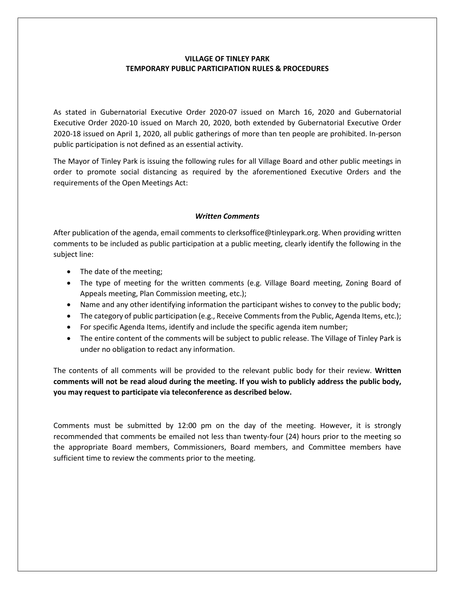#### **VILLAGE OF TINLEY PARK TEMPORARY PUBLIC PARTICIPATION RULES & PROCEDURES**

As stated in Gubernatorial Executive Order 2020-07 issued on March 16, 2020 and Gubernatorial Executive Order 2020-10 issued on March 20, 2020, both extended by Gubernatorial Executive Order 2020-18 issued on April 1, 2020, all public gatherings of more than ten people are prohibited. In-person public participation is not defined as an essential activity.

The Mayor of Tinley Park is issuing the following rules for all Village Board and other public meetings in order to promote social distancing as required by the aforementioned Executive Orders and the requirements of the Open Meetings Act:

#### *Written Comments*

After publication of the agenda, email comments to clerksoffice@tinleypark.org. When providing written comments to be included as public participation at a public meeting, clearly identify the following in the subject line:

- The date of the meeting;
- The type of meeting for the written comments (e.g. Village Board meeting, Zoning Board of Appeals meeting, Plan Commission meeting, etc.);
- Name and any other identifying information the participant wishes to convey to the public body;
- The category of public participation (e.g., Receive Comments from the Public, Agenda Items, etc.);
- For specific Agenda Items, identify and include the specific agenda item number;
- The entire content of the comments will be subject to public release. The Village of Tinley Park is under no obligation to redact any information.

The contents of all comments will be provided to the relevant public body for their review. **Written comments will not be read aloud during the meeting. If you wish to publicly address the public body, you may request to participate via teleconference as described below.**

Comments must be submitted by 12:00 pm on the day of the meeting. However, it is strongly recommended that comments be emailed not less than twenty-four (24) hours prior to the meeting so the appropriate Board members, Commissioners, Board members, and Committee members have sufficient time to review the comments prior to the meeting.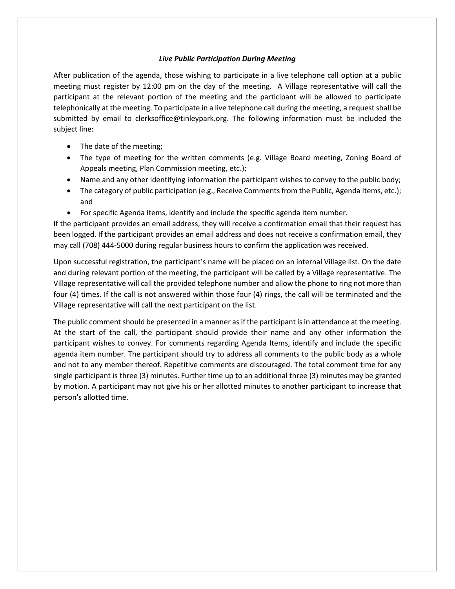#### *Live Public Participation During Meeting*

After publication of the agenda, those wishing to participate in a live telephone call option at a public meeting must register by 12:00 pm on the day of the meeting. A Village representative will call the participant at the relevant portion of the meeting and the participant will be allowed to participate telephonically at the meeting. To participate in a live telephone call during the meeting, a request shall be submitted by email to clerksoffice@tinleypark.org. The following information must be included the subject line:

- The date of the meeting;
- The type of meeting for the written comments (e.g. Village Board meeting, Zoning Board of Appeals meeting, Plan Commission meeting, etc.);
- Name and any other identifying information the participant wishes to convey to the public body;
- The category of public participation (e.g., Receive Comments from the Public, Agenda Items, etc.); and
- For specific Agenda Items, identify and include the specific agenda item number.

If the participant provides an email address, they will receive a confirmation email that their request has been logged. If the participant provides an email address and does not receive a confirmation email, they may call (708) 444-5000 during regular business hours to confirm the application was received.

Upon successful registration, the participant's name will be placed on an internal Village list. On the date and during relevant portion of the meeting, the participant will be called by a Village representative. The Village representative will call the provided telephone number and allow the phone to ring not more than four (4) times. If the call is not answered within those four (4) rings, the call will be terminated and the Village representative will call the next participant on the list.

The public comment should be presented in a manner as if the participant is in attendance at the meeting. At the start of the call, the participant should provide their name and any other information the participant wishes to convey. For comments regarding Agenda Items, identify and include the specific agenda item number. The participant should try to address all comments to the public body as a whole and not to any member thereof. Repetitive comments are discouraged. The total comment time for any single participant is three (3) minutes. Further time up to an additional three (3) minutes may be granted by motion. A participant may not give his or her allotted minutes to another participant to increase that person's allotted time.